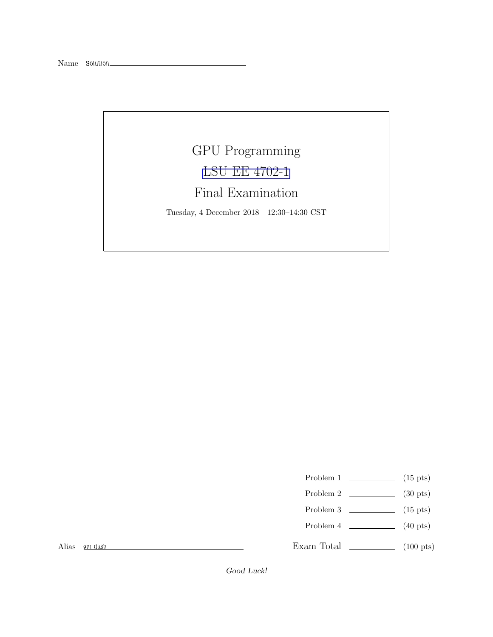## GPU Programming [LSU EE 4702-1](https://www.ece.lsu.edu/koppel/gpup/) Final Examination

Tuesday, 4 December 2018 12:30–14:30 CST

- Problem 1  $\qquad \qquad$  (15 pts)
- Problem 2  $\qquad \qquad$  (30 pts)
- Problem 3  $\qquad \qquad$  (15 pts)
- Problem 4  $\qquad \qquad$  (40 pts)

Alias em dash

Exam Total \_\_\_\_\_\_\_\_\_\_\_\_\_ (100 pts)

Good Luck!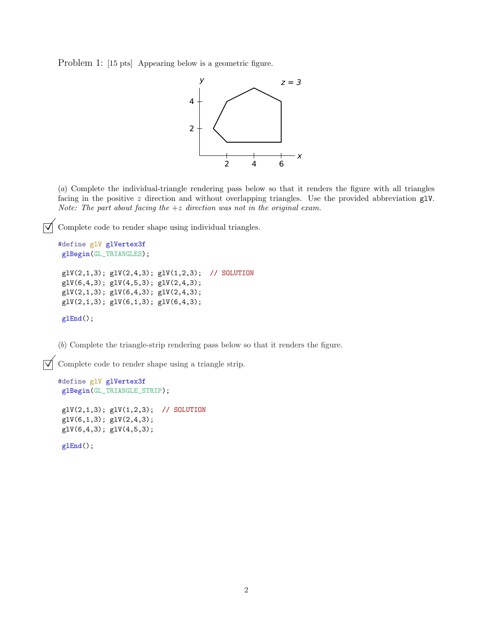Problem 1: [15 pts] Appearing below is a geometric figure.



(*a*) Complete the individual-triangle rendering pass below so that it renders the figure with all triangles facing in the positive z direction and without overlapping triangles. Use the provided abbreviation glV. *Note: The part about facing the* +z *direction was not in the original exam.*

 $\overrightarrow{\mathcal{A}}$  Complete code to render shape using individual triangles.

```
#define glV glVertex3f
glBegin(GL_TRIANGLES);
glV(2,1,3); glV(2,4,3); glV(1,2,3); // SOLUTION
g1V(6,4,3); g1V(4,5,3); g1V(2,4,3);g1V(2,1,3); g1V(6,4,3); g1V(2,4,3);g1V(2,1,3); g1V(6,1,3); g1V(6,4,3);glEnd();
```
(*b*) Complete the triangle-strip rendering pass below so that it renders the figure.

 $\triangledown$  Complete code to render shape using a triangle strip.

```
#define glV glVertex3f
glBegin(GL_TRIANGLE_STRIP);
g1V(2,1,3); g1V(1,2,3); // SOLUTIONglV(6,1,3); glV(2,4,3);
glV(6,4,3); glV(4,5,3);
```
glEnd();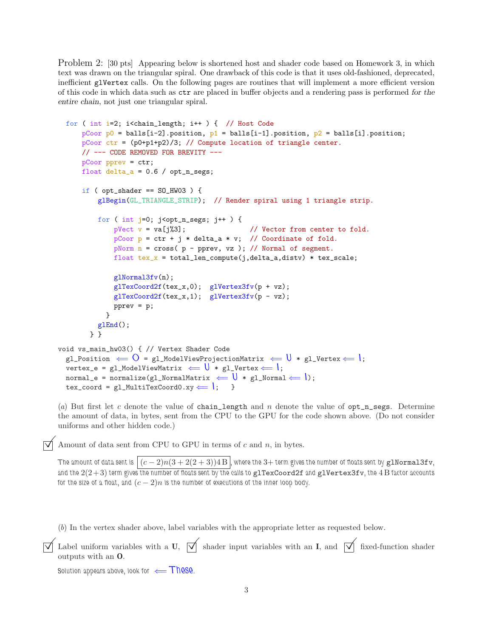Problem 2: [30 pts] Appearing below is shortened host and shader code based on Homework 3, in which text was drawn on the triangular spiral. One drawback of this code is that it uses old-fashioned, deprecated, inefficient glVertex calls. On the following pages are routines that will implement a more efficient version of this code in which data such as ctr are placed in buffer objects and a rendering pass is performed for the entire chain, not just one triangular spiral.

```
for ( int i=2; i<chain_length; i++ ) { // Host Code
      pCoor p0 = balls[i-2].position, p1 = balls[i-1].position, p2 = balls[i].position;
      pCoor ctr = (p0+p1+p2)/3; // Compute location of triangle center.
      // --- CODE REMOVED FOR BREVITY ---
      pCoor pprev = ctr;
      float delta_a = 0.6 / opt_n_segs;
      if (opt\_shader == SO_HW03) {
           glBegin(GL_TRIANGLE_STRIP); // Render spiral using 1 triangle strip.
           for ( int j=0; j<opt_n_segs; j++ ) {
               pVect v = va[j\text{\textdegree}3]; // Vector from center to fold.
               pCoor p = \text{ctr} + j * \text{delta}_a * v; // Coordinate of fold.
               pNorm n = cross( p - pprev, vz ); // Normal of segment.
               float text_x = total_length\_compute(j,delta_a,distv) * tax_scale;glNormal3fv(n);
               glTexCoord2f(tex_x,0); glVertex3fv(p + vz);
               glTexCoord2f(tex_x,1); glVertex3fv(p - vz);
               pprev = p;
             }
           glEnd();
        } }
void vs_main_hw03() { // Vertex Shader Code
  gl_Position \Leftarrow \bigcirc = gl_ModelViewProjectionMatrix \Leftarrow \bigcup * gl_Vertex \Leftarrow \big|;
  vertex_e = gl_ModelViewMatrix \Leftarrow U * gl_Vertex \Leftarrow I;
  normal_e = normalize(gl_NormalMatrix \leftarrow \mathbf{U} * \text{gl}_sNormal \leftarrow \mathbf{I});
  text_{cov} = g1_MultifexCoord. xy \leftarrow |;
```
(a) But first let c denote the value of chain\_length and n denote the value of  $opt_n$  segs. Determine the amount of data, in bytes, sent from the CPU to the GPU for the code shown above. (Do not consider uniforms and other hidden code.)

 $\forall$  Amount of data sent from CPU to GPU in terms of c and n, in bytes.

The amount of data sent is  $|(c-2)n(3+2(2+3))4\,\mathrm{B}$  , where the 3+ term gives the number of floats sent by g1Norma13fv, and the  $2(2+3)$  term gives the number of floats sent by the calls to glTexCoord2f and glVertex3fv, the 4 B factor accounts for the size of a float, and  $(c - 2)n$  is the number of executions of the inner loop body.

(*b*) In the vertex shader above, label variables with the appropriate letter as requested below.

```
\vec{\triangledown} Label uniform variables with a U, \vec{\triangledown} shader input variables with an I, and \vec{\triangledown} fixed-function shader
     outputs with an O.
```
Solution appears above, look for  $\Leftarrow$  These.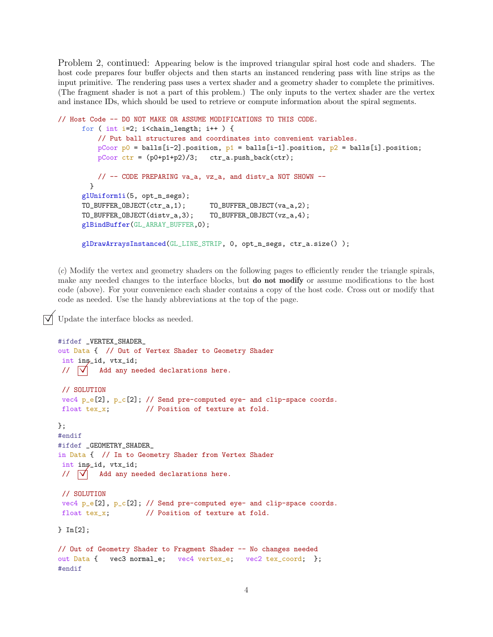Problem 2, continued: Appearing below is the improved triangular spiral host code and shaders. The host code prepares four buffer objects and then starts an instanced rendering pass with line strips as the input primitive. The rendering pass uses a vertex shader and a geometry shader to complete the primitives. (The fragment shader is not a part of this problem.) The only inputs to the vertex shader are the vertex and instance IDs, which should be used to retrieve or compute information about the spiral segments.

```
// Host Code -- DO NOT MAKE OR ASSUME MODIFICATIONS TO THIS CODE.
     for ( int i=2; i<chain_length; i++ ) {
         // Put ball structures and coordinates into convenient variables.
         pCoor p0 = balls[i-2].position, p1 = balls[i-1].position, p2 = balls[i].position;
         pCoor ctr = (p0+p1+p2)/3; ctr_a.push_back(ctr);
         // -- CODE PREPARING va_a, vz_a, and distv_a NOT SHOWN --
       }
     glUniform1i(5, opt_n_segs);
     TO_BUFFER_OBJECT(ctr_a,1); TO_BUFFER_OBJECT(va_a,2);
     TO_BUFFER_OBJECT(distv_a,3); TO_BUFFER_OBJECT(vz_a,4);
      glBindBuffer(GL_ARRAY_BUFFER,0);
     glDrawArraysInstanced(GL_LINE_STRIP, 0, opt_n_segs, ctr_a.size() );
```
(*c*) Modify the vertex and geometry shaders on the following pages to efficiently render the triangle spirals, make any needed changes to the interface blocks, but **do not modify** or assume modifications to the host code (above). For your convenience each shader contains a copy of the host code. Cross out or modify that code as needed. Use the handy abbreviations at the top of the page.

## Update the interface blocks as needed.

```
#ifdef _VERTEX_SHADER_
out Data { // Out of Vertex Shader to Geometry Shader
int ins_id, vtx_id;
//  Add any needed declarations here.
// SOLUTION
vec4 p_e[2], p_e[2]; // Send pre-computed eye- and clip-space coords.
float tex_x; // Position of texture at fold.
};
#endif
#ifdef _GEOMETRY_SHADER_
in Data { // In to Geometry Shader from Vertex Shader
int ins_id, vtx_id;
//  Add any needed declarations here.
// SOLUTION
vec4 p_e[2], p_c[2]; // Send pre-computed eye- and clip-space coords.
float tex_x; // Position of texture at fold.
} In[2];
// Out of Geometry Shader to Fragment Shader -- No changes needed
out Data { vec3 normal_e; vec4 vertex_e; vec2 tex_coord; };
#endif
```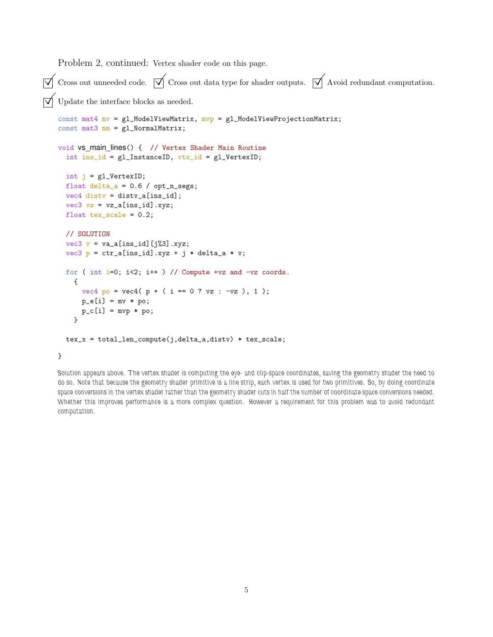Problem 2, continued: Vertex shader code on this page.

```
\vec{\triangledown} Cross out unneeded code. \vec{\triangledown} Cross out data type for shader outputs. \vec{\triangledown} Avoid redundant computation.
\vec{\triangledown} Update the interface blocks as needed.
    const mat4 mv = g1_ModelViewMatrix, mvp = g1_ModelViewProjectionMatrix;
    const mat3 nm = gl_NormalMatrix;
    void vs_main_lines() { // Vertex Shader Main Routine
      int ins_id = gl\_InstanceID, vtx_id = gl\_VertexID;
      int j = g1 Vertex ID;
      float delta_a = 0.6 / opt_n_segs;
      vec4 disty = disty_a[ins_id];
      vec3 vz = vz_a[ins_id].xyz;float tex_e scale = 0.2;
      // SOLUTION
      vec3 v = va_a[ins_id][j%3].xyz;
      vec3 p = ctr_a[ins_id].xyz + j * delta_a * v;for ( int i=0; i<2; i++ ) // Compute +vz and -vz coords.
        {
          vec4 po = vec4 ( p + ( i == 0 ? vz : -vz ), 1 );
          p_e[i] = mv * po;p_c[i] = mvp * po;}
      tex_x = total_len_compute(j,delta_a,distv) * tex_scale;
    }
```
Solution appears above. The vertex shader is computing the eye- and clip-space coordinates, saving the geometry shader the need to do so. Note that because the geometry shader primitive is a line strip, each vertex is used for two primitives. So, by doing coordinate space conversions in the vertex shader rather than the geometry shader cuts in half the number of coordinate space conversions needed. Whether this improves performance is a more complex question. However a requirement for this problem was to avoid redundant computation.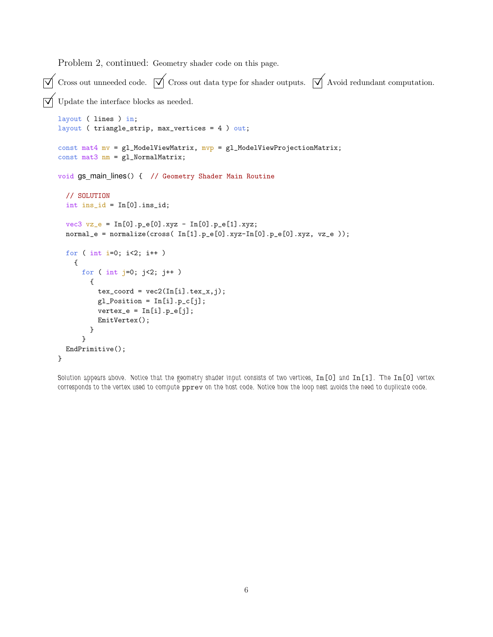Problem 2, continued: Geometry shader code on this page.

 $\overline{\sqrt{\ }}$  Cross out unneeded code.  $\overline{\sqrt{\ }}$  Cross out data type for shader outputs.  $\overline{\sqrt{\ }}$  Avoid redundant computation.  $\overrightarrow{\mathsf{V}}$  Update the interface blocks as needed. layout ( lines ) in; layout ( triangle\_strip, max\_vertices = 4 ) out; const mat4  $mv = g1$ \_ModelViewMatrix,  $mvp = g1$ \_ModelViewProjectionMatrix; const mat3 nm = gl\_NormalMatrix; void gs main lines() { // Geometry Shader Main Routine // SOLUTION  $int$   $ins_id = In[0].ins_id;$  $vec3$   $vz_e = \text{In[0].} p_e[0].xyz - \text{In[0].} p_e[1].xyz;$  $normal_e = normalize(cross( In[1].p_e[0].xyz-In[0].p_e[0].xyz, vz_e$ ); for ( int i=0; i<2; i++ ) { for ( int  $j=0$ ;  $j<2$ ;  $j++$  ) {  $tex_{exc} = vec2(In[i].tex_x,j);$  $gl_Position = In[i].p_c[j];$  $vertex_e = In[i].p_e[j];$ EmitVertex(); } } EndPrimitive(); }

Solution appears above. Notice that the geometry shader input consists of two vertices, In[0] and In[1]. The In[0] vertex corresponds to the vertex used to compute pprev on the host code. Notice how the loop nest avoids the need to duplicate code.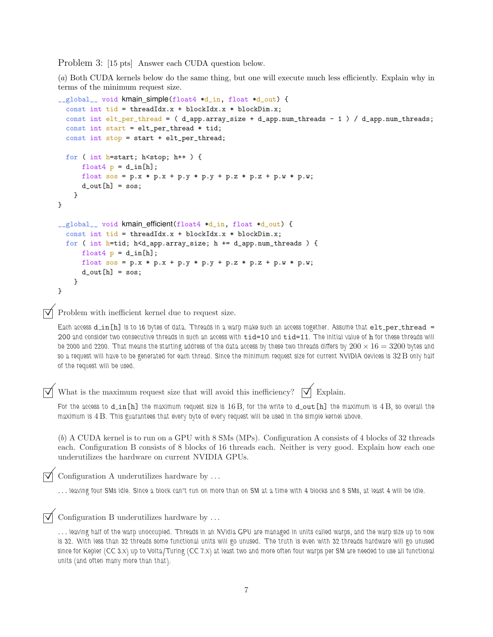Problem 3: [15 pts] Answer each CUDA question below.

(*a*) Both CUDA kernels below do the same thing, but one will execute much less efficiently. Explain why in terms of the minimum request size.

```
__global__ void kmain simple(float4 *d_in, float *d_out) {
  const int tid = threadIdx.x + blockIdx.x * blockDim.x;
  const int elt_per_thread = ( d_app.array_size + d_app.num_threads - 1 ) / d_app.num_threads;
  const int start = elt_per_thread * tid;
  const int stop = start + elt_per_thread;
  for ( int h=start; h<stop; h++ ) {
      float4 p = d_{in}[h];
      float sos = p.x * p.x + p.y * p.y + p.z * p.z + p.w * p.w;
      d_out[h] = sos;}
}
__global__ void kmain_efficient(float4 *d_in, float *d_out) {
  const int tid = threadIdx.x + blockIdx.x * blockDim.x;
  for ( int h=tid; h<d_app.array_size; h += d_app.num_threads ) {
      float4 p = d_{in}[h];
      float sos = p.x * p.x + p.y * p.y + p.z * p.z + p.w * p.w;
      d_{out}[h] = sos;}
}
```
 $\nabla$  Problem with inefficient kernel due to request size.

Each access d\_in[h] is to 16 bytes of data. Threads in a warp make such an access together. Assume that elt\_per\_thread = 200 and consider two consecutive threads in such an access with tid=10 and tid=11. The initial value of h for these threads will be 2000 and 2200. That means the starting address of the data access by these two threads differs by  $200 \times 16 = 3200$  bytes and so a request will have to be generated for each thread. Since the minimum request size for current NVIDIA devices is  $32\,\mathrm{B}$  only half of the request will be used.

What is the maximum request size that will avoid this inefficiency?  $\forall \forall$  Explain.

For the access to  $d_{in}[h]$  the maximum request size is  $16B$ , for the write to  $d_{out}[h]$  the maximum is  $4B$ , so overall the maximum is 4 B. This guarantees that every byte of every request will be used in the simple kernel above.

(*b*) A CUDA kernel is to run on a GPU with 8 SMs (MPs). Configuration A consists of 4 blocks of 32 threads each. Configuration B consists of 8 blocks of 16 threads each. Neither is very good. Explain how each one underutilizes the hardware on current NVIDIA GPUs.

Configuration A underutilizes hardware by . . .

... leaving four SMs idle. Since a block can't run on more than on SM at a time with 4 blocks and 8 SMs, at least 4 will be idle.

 $\triangledown$  Configuration B underutilizes hardware by ...

... leaving half of the warp unoccupied. Threads in an NVidia GPU are managed in units called warps, and the warp size up to now is 32. With less than 32 threads some functional units will go unused. The truth is even with 32 threads hardware will go unused since for Kepler (CC 3.x) up to Volta/Turing (CC 7.x) at least two and more often four warps per SM are needed to use all functional units (and often many more than that).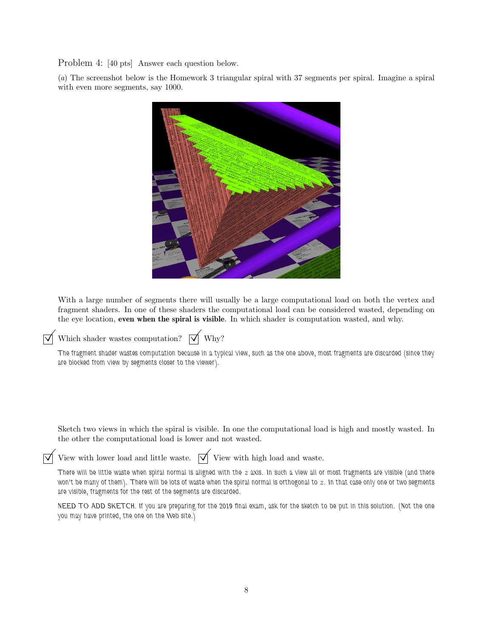Problem 4: [40 pts] Answer each question below.

(*a*) The screenshot below is the Homework 3 triangular spiral with 37 segments per spiral. Imagine a spiral with even more segments, say 1000.



With a large number of segments there will usually be a large computational load on both the vertex and fragment shaders. In one of these shaders the computational load can be considered wasted, depending on the eye location, even when the spiral is visible. In which shader is computation wasted, and why.



 $\forall$  Which shader wastes computation?  $\forall$  Why?

The fragment shader wastes computation because in a typical view, such as the one above, most fragments are discarded (since they are blocked from view by segments closer to the viewer).

Sketch two views in which the spiral is visible. In one the computational load is high and mostly wasted. In the other the computational load is lower and not wasted.

View with lower load and little waste.  $\forall$  View with high load and waste.

There will be little waste when spiral normal is aligned with the  $z$  axis. In such a view all or most fragments are visible (and there won't be many of them). There will be lots of waste when the spiral normal is orthogonal to  $z$ . In that case only one or two segments are visible, fragments for the rest of the segments are discarded.

NEED TO ADD SKETCH. If you are preparing for the 2019 final exam, ask for the sketch to be put in this solution. (Not the one you may have printed, the one on the Web site.)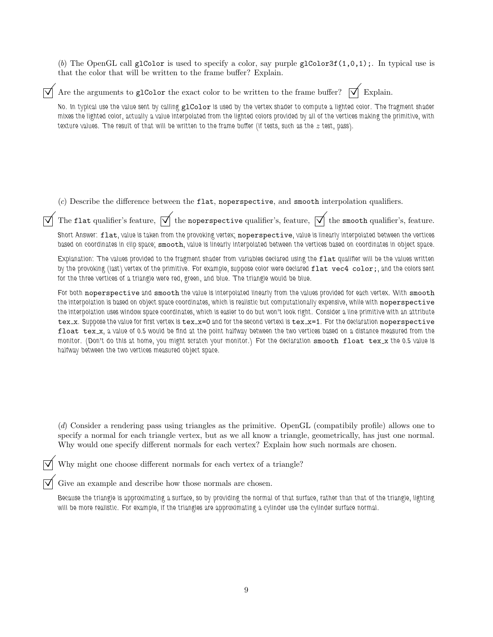(b) The OpenGL call glColor is used to specify a color, say purple glColor3f $(1,0,1)$ ;. In typical use is that the color that will be written to the frame buffer? Explain.

Are the arguments to glColor the exact color to be written to the frame buffer?  $\forall \forall$  Explain.

No. In typical use the value sent by calling glColor is used by the vertex shader to compute a lighted color. The fragment shader mixes the lighted color, actually a value interpolated from the lighted colors provided by all of the vertices making the primitive, with texture values. The result of that will be written to the frame buffer (if tests, such as the  $z$  test, pass).

(*c*) Describe the difference between the flat, noperspective, and smooth interpolation qualifiers.

 $\forall$  The flat qualifier's feature,  $\forall$  the noperspective qualifier's, feature,  $\forall$  the smooth qualifier's, feature.

Short Answer: flat, value is taken from the provoking vertex; noperspective, value is linearly interpolated between the vertices based on coordinates in clip space; smooth, value is linearly interpolated between the vertices based on coordinates in object space.

Explanation: The values provided to the fragment shader from variables declared using the flat qualifier will be the values written by the provoking (last) vertex of the primitive. For example, suppose color were declared flat vec4 color;, and the colors sent for the three vertices of a triangle were red, green, and blue. The triangle would be blue.

For both noperspective and smooth the value is interpolated linearly from the values provided for each vertex. With smooth the interpolation is based on object space coordinates, which is realistic but computationally expensive, while with noperspective the interpolation uses window space coordinates, which is easier to do but won't look right. Consider a line primitive with an attribute tex\_x. Suppose the value for first vertex is tex\_x=0 and for the second vertexi is tex\_x=1. For the declaration noperspective float tex x, a value of 0.5 would be find at the point halfway between the two vertices based on a distance measured from the monitor. (Don't do this at home, you might seratch your monitor.) For the declaration smooth float tex x the 0.5 value is halfway between the two vertices measured object space.

(*d*) Consider a rendering pass using triangles as the primitive. OpenGL (compatibily profile) allows one to specify a normal for each triangle vertex, but as we all know a triangle, geometrically, has just one normal. Why would one specify different normals for each vertex? Explain how such normals are chosen.

Why might one choose different normals for each vertex of a triangle?

 $\overrightarrow{\mathcal{A}}$  Give an example and describe how those normals are chosen.

Because the triangle is approximating a surface, so by providing the normal of that surface, rather than that of the triangle, lighting will be more realistic. For example, if the triangles are approximating a cylinder use the cylinder surface normal.